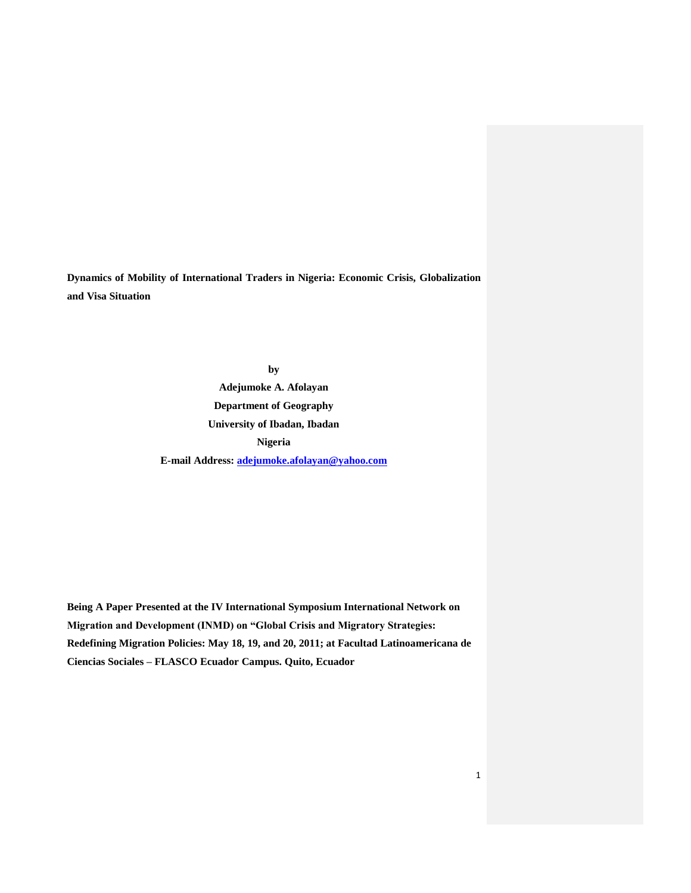**Dynamics of Mobility of International Traders in Nigeria: Economic Crisis, Globalization and Visa Situation**

> **by Adejumoke A. Afolayan Department of Geography University of Ibadan, Ibadan Nigeria E-mail Address: [adejumoke.afolayan@yahoo.com](mailto:adejumoke.afolayan@yahoo.com)**

**Being A Paper Presented at the IV International Symposium International Network on Migration and Development (INMD) on "Global Crisis and Migratory Strategies: Redefining Migration Policies: May 18, 19, and 20, 2011; at Facultad Latinoamericana de Ciencias Sociales – FLASCO Ecuador Campus. Quito, Ecuador**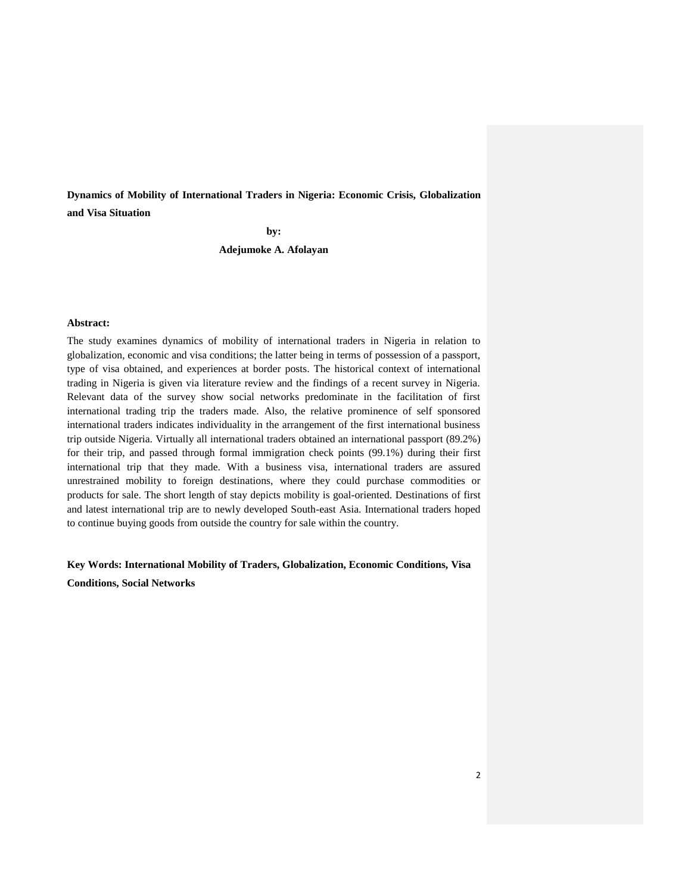**Dynamics of Mobility of International Traders in Nigeria: Economic Crisis, Globalization and Visa Situation**

**by:**

**Adejumoke A. Afolayan**

## **Abstract:**

The study examines dynamics of mobility of international traders in Nigeria in relation to globalization, economic and visa conditions; the latter being in terms of possession of a passport, type of visa obtained, and experiences at border posts. The historical context of international trading in Nigeria is given via literature review and the findings of a recent survey in Nigeria. Relevant data of the survey show social networks predominate in the facilitation of first international trading trip the traders made. Also, the relative prominence of self sponsored international traders indicates individuality in the arrangement of the first international business trip outside Nigeria. Virtually all international traders obtained an international passport (89.2%) for their trip, and passed through formal immigration check points (99.1%) during their first international trip that they made. With a business visa, international traders are assured unrestrained mobility to foreign destinations, where they could purchase commodities or products for sale. The short length of stay depicts mobility is goal-oriented. Destinations of first and latest international trip are to newly developed South-east Asia. International traders hoped to continue buying goods from outside the country for sale within the country.

**Key Words: International Mobility of Traders, Globalization, Economic Conditions, Visa Conditions, Social Networks**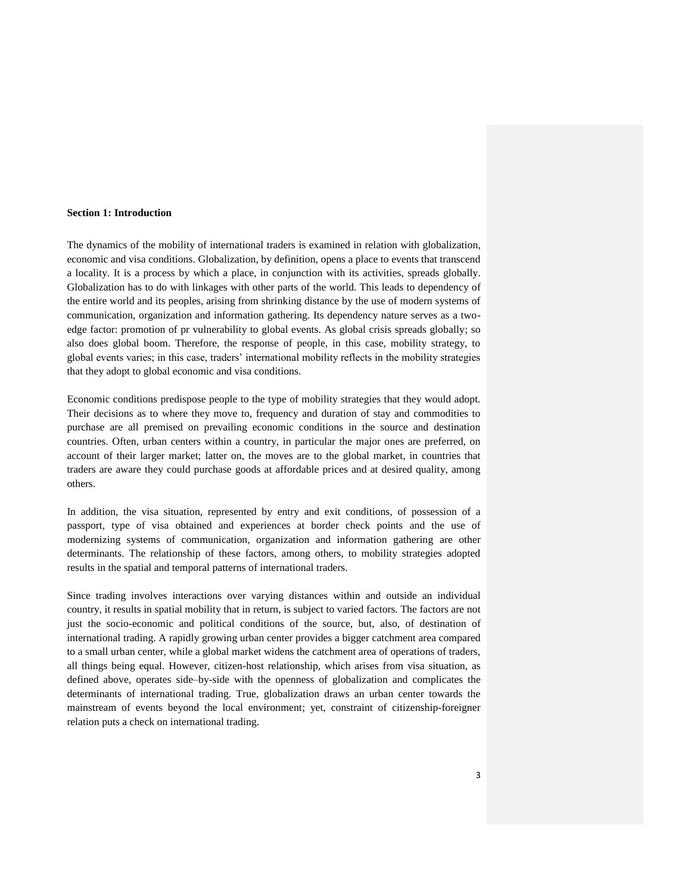### **Section 1: Introduction**

The dynamics of the mobility of international traders is examined in relation with globalization, economic and visa conditions. Globalization, by definition, opens a place to events that transcend a locality. It is a process by which a place, in conjunction with its activities, spreads globally. Globalization has to do with linkages with other parts of the world. This leads to dependency of the entire world and its peoples, arising from shrinking distance by the use of modern systems of communication, organization and information gathering. Its dependency nature serves as a twoedge factor: promotion of pr vulnerability to global events. As global crisis spreads globally; so also does global boom. Therefore, the response of people, in this case, mobility strategy, to global events varies; in this case, traders" international mobility reflects in the mobility strategies that they adopt to global economic and visa conditions.

Economic conditions predispose people to the type of mobility strategies that they would adopt. Their decisions as to where they move to, frequency and duration of stay and commodities to purchase are all premised on prevailing economic conditions in the source and destination countries. Often, urban centers within a country, in particular the major ones are preferred, on account of their larger market; latter on, the moves are to the global market, in countries that traders are aware they could purchase goods at affordable prices and at desired quality, among others.

In addition, the visa situation, represented by entry and exit conditions, of possession of a passport, type of visa obtained and experiences at border check points and the use of modernizing systems of communication, organization and information gathering are other determinants. The relationship of these factors, among others, to mobility strategies adopted results in the spatial and temporal patterns of international traders.

Since trading involves interactions over varying distances within and outside an individual country, it results in spatial mobility that in return, is subject to varied factors. The factors are not just the socio-economic and political conditions of the source, but, also, of destination of international trading. A rapidly growing urban center provides a bigger catchment area compared to a small urban center, while a global market widens the catchment area of operations of traders, all things being equal. However, citizen-host relationship, which arises from visa situation, as defined above, operates side–by-side with the openness of globalization and complicates the determinants of international trading. True, globalization draws an urban center towards the mainstream of events beyond the local environment; yet, constraint of citizenship-foreigner relation puts a check on international trading.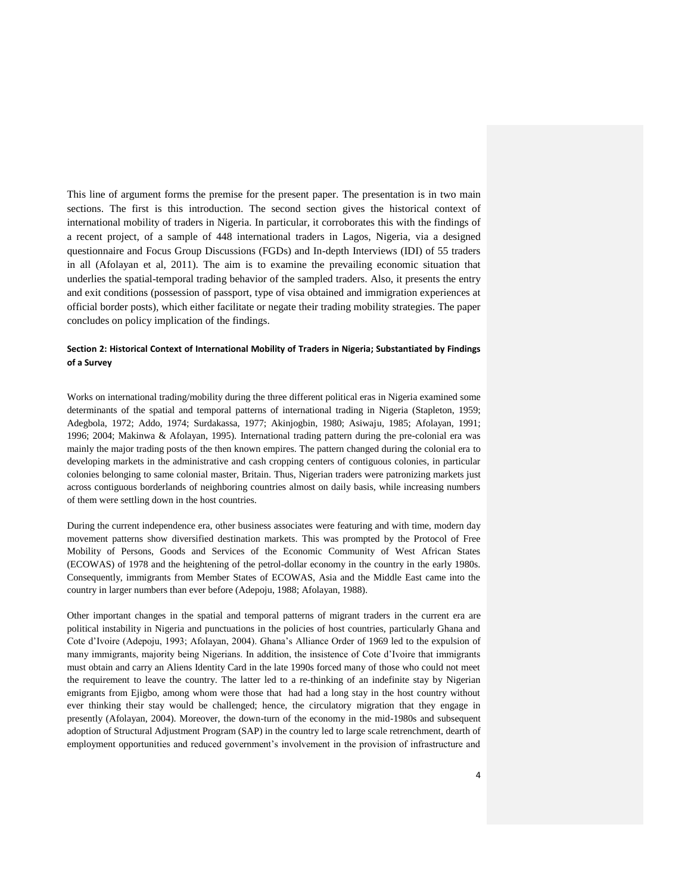This line of argument forms the premise for the present paper. The presentation is in two main sections. The first is this introduction. The second section gives the historical context of international mobility of traders in Nigeria. In particular, it corroborates this with the findings of a recent project, of a sample of 448 international traders in Lagos, Nigeria, via a designed questionnaire and Focus Group Discussions (FGDs) and In-depth Interviews (IDI) of 55 traders in all (Afolayan et al, 2011). The aim is to examine the prevailing economic situation that underlies the spatial-temporal trading behavior of the sampled traders. Also, it presents the entry and exit conditions (possession of passport, type of visa obtained and immigration experiences at official border posts), which either facilitate or negate their trading mobility strategies. The paper concludes on policy implication of the findings.

# **Section 2: Historical Context of International Mobility of Traders in Nigeria; Substantiated by Findings of a Survey**

Works on international trading/mobility during the three different political eras in Nigeria examined some determinants of the spatial and temporal patterns of international trading in Nigeria (Stapleton, 1959; Adegbola, 1972; Addo, 1974; Surdakassa, 1977; Akinjogbin, 1980; Asiwaju, 1985; Afolayan, 1991; 1996; 2004; Makinwa & Afolayan, 1995). International trading pattern during the pre-colonial era was mainly the major trading posts of the then known empires. The pattern changed during the colonial era to developing markets in the administrative and cash cropping centers of contiguous colonies, in particular colonies belonging to same colonial master, Britain. Thus, Nigerian traders were patronizing markets just across contiguous borderlands of neighboring countries almost on daily basis, while increasing numbers of them were settling down in the host countries.

During the current independence era, other business associates were featuring and with time, modern day movement patterns show diversified destination markets. This was prompted by the Protocol of Free Mobility of Persons, Goods and Services of the Economic Community of West African States (ECOWAS) of 1978 and the heightening of the petrol-dollar economy in the country in the early 1980s. Consequently, immigrants from Member States of ECOWAS, Asia and the Middle East came into the country in larger numbers than ever before (Adepoju, 1988; Afolayan, 1988).

Other important changes in the spatial and temporal patterns of migrant traders in the current era are political instability in Nigeria and punctuations in the policies of host countries, particularly Ghana and Cote d"Ivoire (Adepoju, 1993; Afolayan, 2004). Ghana"s Alliance Order of 1969 led to the expulsion of many immigrants, majority being Nigerians. In addition, the insistence of Cote d"Ivoire that immigrants must obtain and carry an Aliens Identity Card in the late 1990s forced many of those who could not meet the requirement to leave the country. The latter led to a re-thinking of an indefinite stay by Nigerian emigrants from Ejigbo, among whom were those that had had a long stay in the host country without ever thinking their stay would be challenged; hence, the circulatory migration that they engage in presently (Afolayan, 2004). Moreover, the down-turn of the economy in the mid-1980s and subsequent adoption of Structural Adjustment Program (SAP) in the country led to large scale retrenchment, dearth of employment opportunities and reduced government's involvement in the provision of infrastructure and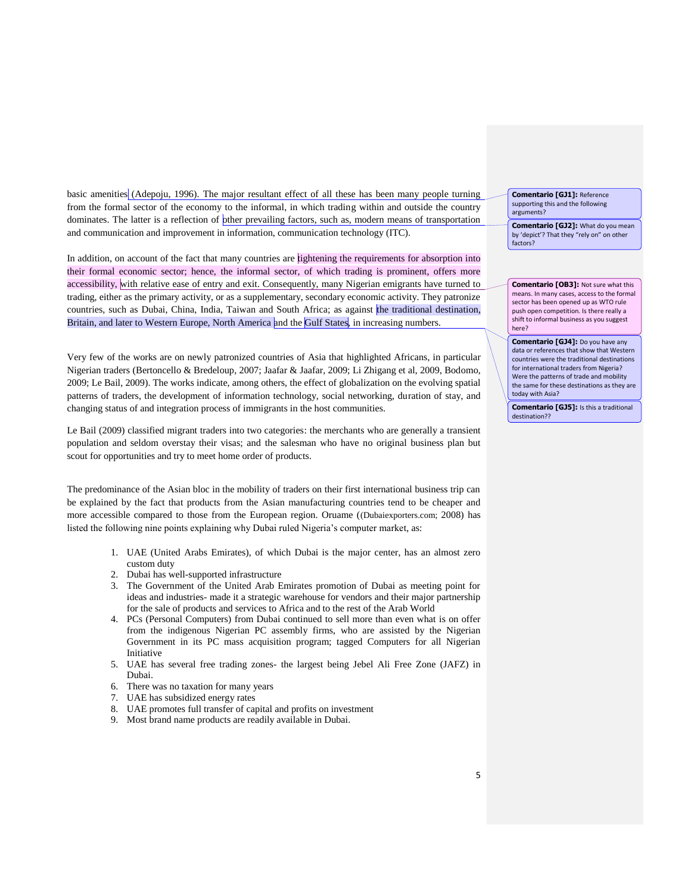basic amenities (Adepoju, 1996). The major resultant effect of all these has been many people turning from the formal sector of the economy to the informal, in which trading within and outside the country dominates. The latter is a reflection of other prevailing factors, such as, modern means of transportation and communication and improvement in information, communication technology (ITC).

In addition, on account of the fact that many countries are tightening the requirements for absorption into their formal economic sector; hence, the informal sector, of which trading is prominent, offers more accessibility, with relative ease of entry and exit. Consequently, many Nigerian emigrants have turned to trading, either as the primary activity, or as a supplementary, secondary economic activity. They patronize countries, such as Dubai, China, India, Taiwan and South Africa; as against the traditional destination, Britain, and later to Western Europe, North America and the Gulf States, in increasing numbers.

Very few of the works are on newly patronized countries of Asia that highlighted Africans, in particular Nigerian traders (Bertoncello & Bredeloup, 2007; Jaafar & Jaafar, 2009; Li Zhigang et al, 2009, Bodomo, 2009; Le Bail, 2009). The works indicate, among others, the effect of globalization on the evolving spatial patterns of traders, the development of information technology, social networking, duration of stay, and changing status of and integration process of immigrants in the host communities.

Le Bail (2009) classified migrant traders into two categories: the merchants who are generally a transient population and seldom overstay their visas; and the salesman who have no original business plan but scout for opportunities and try to meet home order of products.

The predominance of the Asian bloc in the mobility of traders on their first international business trip can be explained by the fact that products from the Asian manufacturing countries tend to be cheaper and more accessible compared to those from the European region. Oruame ((Dubaiexporters.com; 2008) has listed the following nine points explaining why Dubai ruled Nigeria's computer market, as:

- 1. UAE (United Arabs Emirates), of which Dubai is the major center, has an almost zero custom duty
- 2. Dubai has well-supported infrastructure
- 3. The Government of the United Arab Emirates promotion of Dubai as meeting point for ideas and industries- made it a strategic warehouse for vendors and their major partnership for the sale of products and services to Africa and to the rest of the Arab World
- 4. PCs (Personal Computers) from Dubai continued to sell more than even what is on offer from the indigenous Nigerian PC assembly firms, who are assisted by the Nigerian Government in its PC mass acquisition program; tagged Computers for all Nigerian Initiative
- 5. UAE has several free trading zones- the largest being Jebel Ali Free Zone (JAFZ) in Dubai.
- 6. There was no taxation for many years
- 7. UAE has subsidized energy rates
- 8. UAE promotes full transfer of capital and profits on investment
- 9. Most brand name products are readily available in Dubai.

**Comentario [GJ1]:** Reference supporting this and the following arguments?

**Comentario [GJ2]:** What do you mean by 'depict'? That they "rely on" on other factors?

**Comentario [OB3]:** Not sure what this means. In many cases, access to the formal sector has been opened up as WTO rule push open competition. Is there really a shift to informal business as you suggest here?

**Comentario [GJ4]:** Do you have any data or references that show that Western countries were the traditional destinations for international traders from Nigeria? Were the patterns of trade and mobility the same for these destinations as they are today with Asia?

**Comentario [GJ5]:** Is this a traditional destination??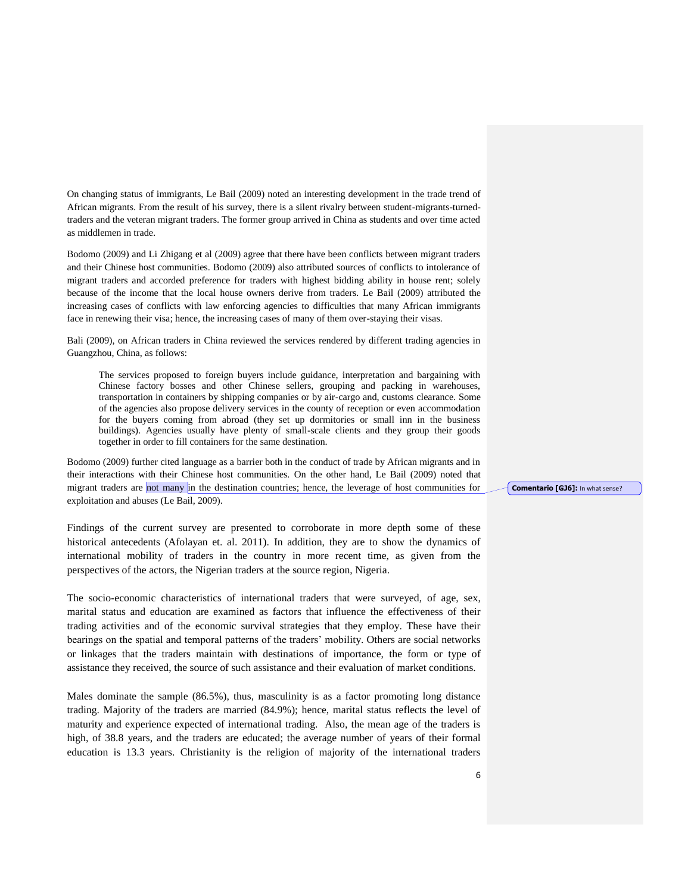On changing status of immigrants, Le Bail (2009) noted an interesting development in the trade trend of African migrants. From the result of his survey, there is a silent rivalry between student-migrants-turnedtraders and the veteran migrant traders. The former group arrived in China as students and over time acted as middlemen in trade.

Bodomo (2009) and Li Zhigang et al (2009) agree that there have been conflicts between migrant traders and their Chinese host communities. Bodomo (2009) also attributed sources of conflicts to intolerance of migrant traders and accorded preference for traders with highest bidding ability in house rent; solely because of the income that the local house owners derive from traders. Le Bail (2009) attributed the increasing cases of conflicts with law enforcing agencies to difficulties that many African immigrants face in renewing their visa; hence, the increasing cases of many of them over-staying their visas.

Bali (2009), on African traders in China reviewed the services rendered by different trading agencies in Guangzhou, China, as follows:

The services proposed to foreign buyers include guidance, interpretation and bargaining with Chinese factory bosses and other Chinese sellers, grouping and packing in warehouses, transportation in containers by shipping companies or by air-cargo and, customs clearance. Some of the agencies also propose delivery services in the county of reception or even accommodation for the buyers coming from abroad (they set up dormitories or small inn in the business buildings). Agencies usually have plenty of small-scale clients and they group their goods together in order to fill containers for the same destination.

Bodomo (2009) further cited language as a barrier both in the conduct of trade by African migrants and in their interactions with their Chinese host communities. On the other hand, Le Bail (2009) noted that migrant traders are not many in the destination countries; hence, the leverage of host communities for exploitation and abuses (Le Bail, 2009).

Findings of the current survey are presented to corroborate in more depth some of these historical antecedents (Afolayan et. al. 2011). In addition, they are to show the dynamics of international mobility of traders in the country in more recent time, as given from the perspectives of the actors, the Nigerian traders at the source region, Nigeria.

The socio-economic characteristics of international traders that were surveyed, of age, sex, marital status and education are examined as factors that influence the effectiveness of their trading activities and of the economic survival strategies that they employ. These have their bearings on the spatial and temporal patterns of the traders" mobility. Others are social networks or linkages that the traders maintain with destinations of importance, the form or type of assistance they received, the source of such assistance and their evaluation of market conditions.

Males dominate the sample (86.5%), thus, masculinity is as a factor promoting long distance trading. Majority of the traders are married (84.9%); hence, marital status reflects the level of maturity and experience expected of international trading. Also, the mean age of the traders is high, of 38.8 years, and the traders are educated; the average number of years of their formal education is 13.3 years. Christianity is the religion of majority of the international traders

**Comentario [GJ6]:** In what sense?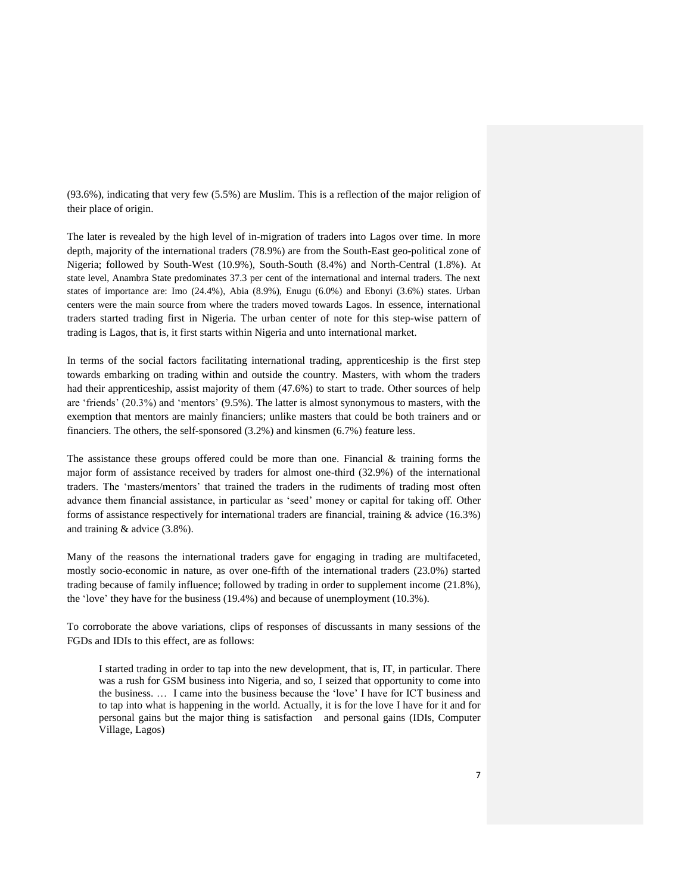(93.6%), indicating that very few (5.5%) are Muslim. This is a reflection of the major religion of their place of origin.

The later is revealed by the high level of in-migration of traders into Lagos over time. In more depth, majority of the international traders (78.9%) are from the South-East geo-political zone of Nigeria; followed by South-West (10.9%), South-South (8.4%) and North-Central (1.8%). At state level, Anambra State predominates 37.3 per cent of the international and internal traders. The next states of importance are: Imo (24.4%), Abia (8.9%), Enugu (6.0%) and Ebonyi (3.6%) states. Urban centers were the main source from where the traders moved towards Lagos. In essence, international traders started trading first in Nigeria. The urban center of note for this step-wise pattern of trading is Lagos, that is, it first starts within Nigeria and unto international market.

In terms of the social factors facilitating international trading, apprenticeship is the first step towards embarking on trading within and outside the country. Masters, with whom the traders had their apprenticeship, assist majority of them (47.6%) to start to trade. Other sources of help are "friends" (20.3%) and "mentors" (9.5%). The latter is almost synonymous to masters, with the exemption that mentors are mainly financiers; unlike masters that could be both trainers and or financiers. The others, the self-sponsored (3.2%) and kinsmen (6.7%) feature less.

The assistance these groups offered could be more than one. Financial  $\&$  training forms the major form of assistance received by traders for almost one-third (32.9%) of the international traders. The "masters/mentors" that trained the traders in the rudiments of trading most often advance them financial assistance, in particular as "seed" money or capital for taking off. Other forms of assistance respectively for international traders are financial, training  $\&$  advice (16.3%) and training & advice (3.8%).

Many of the reasons the international traders gave for engaging in trading are multifaceted, mostly socio-economic in nature, as over one-fifth of the international traders (23.0%) started trading because of family influence; followed by trading in order to supplement income (21.8%), the "love" they have for the business (19.4%) and because of unemployment (10.3%).

To corroborate the above variations, clips of responses of discussants in many sessions of the FGDs and IDIs to this effect, are as follows:

I started trading in order to tap into the new development, that is, IT, in particular. There was a rush for GSM business into Nigeria, and so, I seized that opportunity to come into the business. … I came into the business because the "love" I have for ICT business and to tap into what is happening in the world. Actually, it is for the love I have for it and for personal gains but the major thing is satisfaction and personal gains (IDIs, Computer Village, Lagos)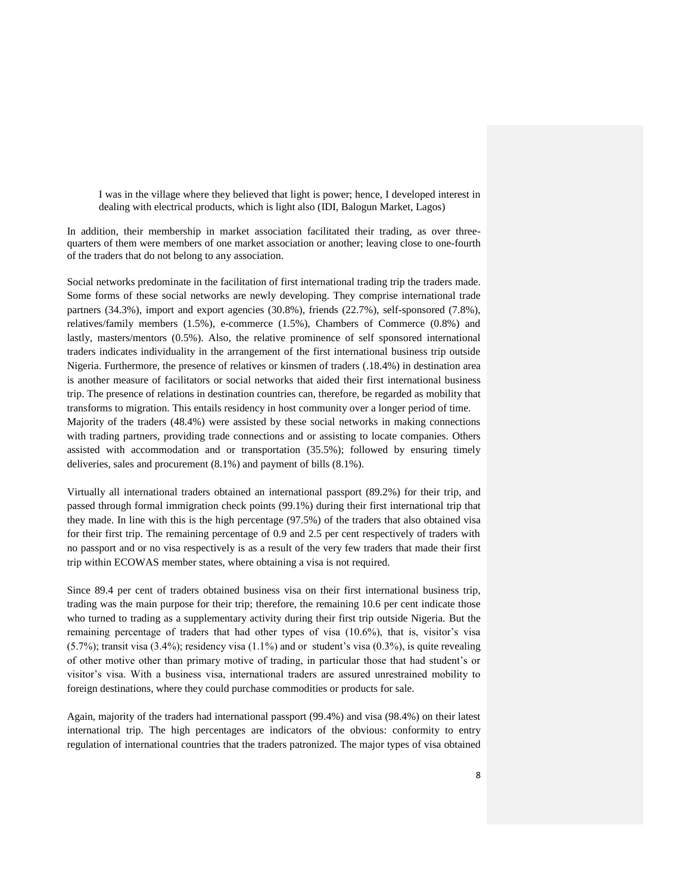I was in the village where they believed that light is power; hence, I developed interest in dealing with electrical products, which is light also (IDI, Balogun Market, Lagos)

In addition, their membership in market association facilitated their trading, as over threequarters of them were members of one market association or another; leaving close to one-fourth of the traders that do not belong to any association.

Social networks predominate in the facilitation of first international trading trip the traders made. Some forms of these social networks are newly developing. They comprise international trade partners (34.3%), import and export agencies (30.8%), friends (22.7%), self-sponsored (7.8%), relatives/family members (1.5%), e-commerce (1.5%), Chambers of Commerce (0.8%) and lastly, masters/mentors (0.5%). Also, the relative prominence of self sponsored international traders indicates individuality in the arrangement of the first international business trip outside Nigeria. Furthermore, the presence of relatives or kinsmen of traders (.18.4%) in destination area is another measure of facilitators or social networks that aided their first international business trip. The presence of relations in destination countries can, therefore, be regarded as mobility that transforms to migration. This entails residency in host community over a longer period of time. Majority of the traders (48.4%) were assisted by these social networks in making connections

with trading partners, providing trade connections and or assisting to locate companies. Others assisted with accommodation and or transportation (35.5%); followed by ensuring timely deliveries, sales and procurement (8.1%) and payment of bills (8.1%).

Virtually all international traders obtained an international passport (89.2%) for their trip, and passed through formal immigration check points (99.1%) during their first international trip that they made. In line with this is the high percentage (97.5%) of the traders that also obtained visa for their first trip. The remaining percentage of 0.9 and 2.5 per cent respectively of traders with no passport and or no visa respectively is as a result of the very few traders that made their first trip within ECOWAS member states, where obtaining a visa is not required.

Since 89.4 per cent of traders obtained business visa on their first international business trip, trading was the main purpose for their trip; therefore, the remaining 10.6 per cent indicate those who turned to trading as a supplementary activity during their first trip outside Nigeria. But the remaining percentage of traders that had other types of visa (10.6%), that is, visitor's visa  $(5.7\%)$ ; transit visa  $(3.4\%)$ ; residency visa  $(1.1\%)$  and or student's visa  $(0.3\%)$ , is quite revealing of other motive other than primary motive of trading, in particular those that had student"s or visitor"s visa. With a business visa, international traders are assured unrestrained mobility to foreign destinations, where they could purchase commodities or products for sale.

Again, majority of the traders had international passport (99.4%) and visa (98.4%) on their latest international trip. The high percentages are indicators of the obvious: conformity to entry regulation of international countries that the traders patronized. The major types of visa obtained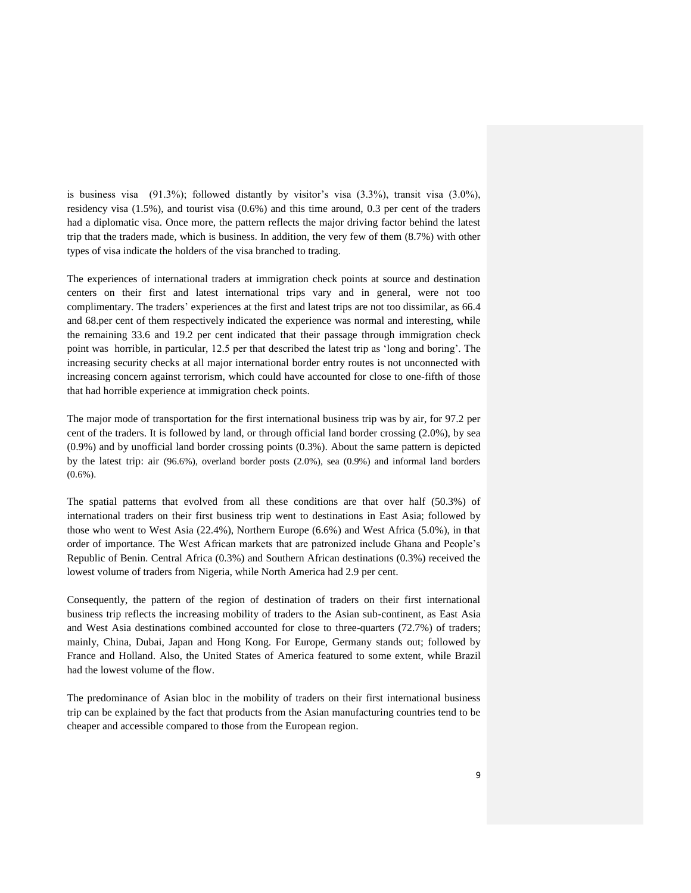is business visa  $(91.3\%)$ ; followed distantly by visitor's visa  $(3.3\%)$ , transit visa  $(3.0\%)$ . residency visa (1.5%), and tourist visa (0.6%) and this time around, 0.3 per cent of the traders had a diplomatic visa. Once more, the pattern reflects the major driving factor behind the latest trip that the traders made, which is business. In addition, the very few of them (8.7%) with other types of visa indicate the holders of the visa branched to trading.

The experiences of international traders at immigration check points at source and destination centers on their first and latest international trips vary and in general, were not too complimentary. The traders" experiences at the first and latest trips are not too dissimilar, as 66.4 and 68.per cent of them respectively indicated the experience was normal and interesting, while the remaining 33.6 and 19.2 per cent indicated that their passage through immigration check point was horrible, in particular, 12.5 per that described the latest trip as "long and boring". The increasing security checks at all major international border entry routes is not unconnected with increasing concern against terrorism, which could have accounted for close to one-fifth of those that had horrible experience at immigration check points.

The major mode of transportation for the first international business trip was by air, for 97.2 per cent of the traders. It is followed by land, or through official land border crossing (2.0%), by sea (0.9%) and by unofficial land border crossing points (0.3%). About the same pattern is depicted by the latest trip: air (96.6%), overland border posts (2.0%), sea (0.9%) and informal land borders  $(0.6\%)$ .

The spatial patterns that evolved from all these conditions are that over half (50.3%) of international traders on their first business trip went to destinations in East Asia; followed by those who went to West Asia (22.4%), Northern Europe (6.6%) and West Africa (5.0%), in that order of importance. The West African markets that are patronized include Ghana and People"s Republic of Benin. Central Africa (0.3%) and Southern African destinations (0.3%) received the lowest volume of traders from Nigeria, while North America had 2.9 per cent.

Consequently, the pattern of the region of destination of traders on their first international business trip reflects the increasing mobility of traders to the Asian sub-continent, as East Asia and West Asia destinations combined accounted for close to three-quarters (72.7%) of traders; mainly, China, Dubai, Japan and Hong Kong. For Europe, Germany stands out; followed by France and Holland. Also, the United States of America featured to some extent, while Brazil had the lowest volume of the flow.

The predominance of Asian bloc in the mobility of traders on their first international business trip can be explained by the fact that products from the Asian manufacturing countries tend to be cheaper and accessible compared to those from the European region.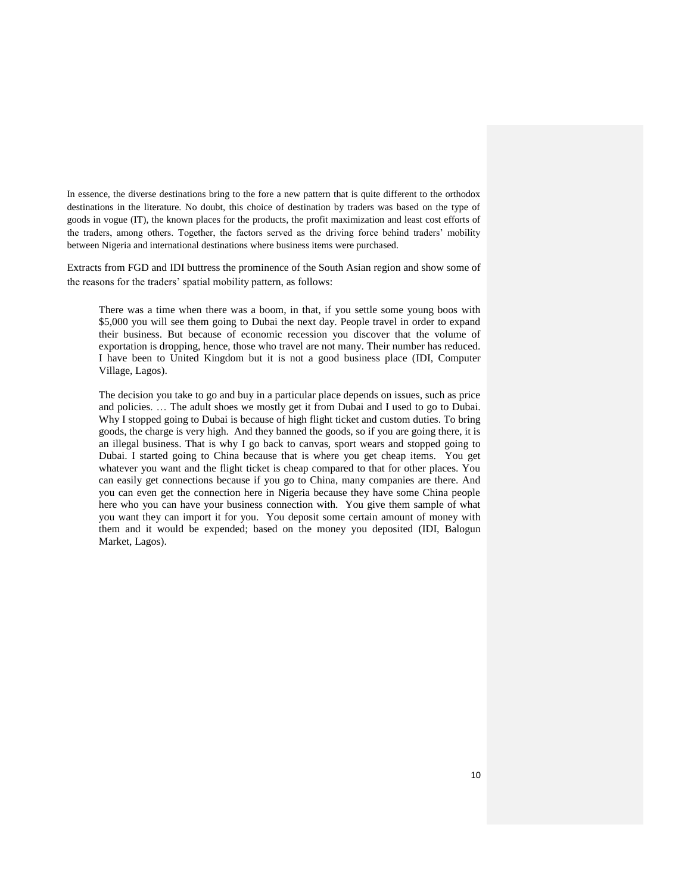In essence, the diverse destinations bring to the fore a new pattern that is quite different to the orthodox destinations in the literature. No doubt, this choice of destination by traders was based on the type of goods in vogue (IT), the known places for the products, the profit maximization and least cost efforts of the traders, among others. Together, the factors served as the driving force behind traders" mobility between Nigeria and international destinations where business items were purchased.

Extracts from FGD and IDI buttress the prominence of the South Asian region and show some of the reasons for the traders" spatial mobility pattern, as follows:

There was a time when there was a boom, in that, if you settle some young boos with \$5,000 you will see them going to Dubai the next day. People travel in order to expand their business. But because of economic recession you discover that the volume of exportation is dropping, hence, those who travel are not many. Their number has reduced. I have been to United Kingdom but it is not a good business place (IDI, Computer Village, Lagos).

The decision you take to go and buy in a particular place depends on issues, such as price and policies. … The adult shoes we mostly get it from Dubai and I used to go to Dubai. Why I stopped going to Dubai is because of high flight ticket and custom duties. To bring goods, the charge is very high. And they banned the goods, so if you are going there, it is an illegal business. That is why I go back to canvas, sport wears and stopped going to Dubai. I started going to China because that is where you get cheap items. You get whatever you want and the flight ticket is cheap compared to that for other places. You can easily get connections because if you go to China, many companies are there. And you can even get the connection here in Nigeria because they have some China people here who you can have your business connection with. You give them sample of what you want they can import it for you. You deposit some certain amount of money with them and it would be expended; based on the money you deposited (IDI, Balogun Market, Lagos).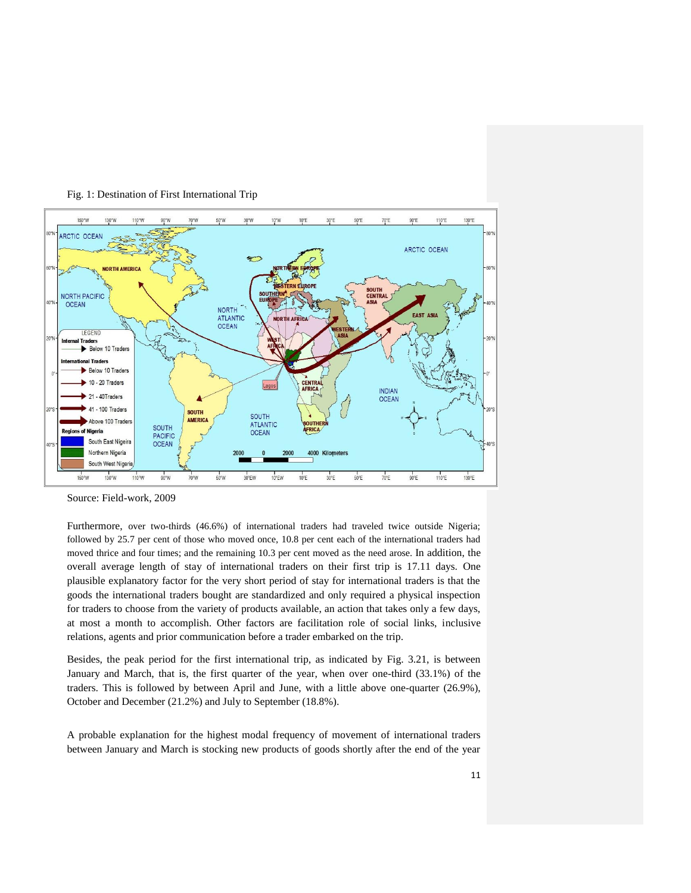

Fig. 1: Destination of First International Trip

Source: Field-work, 2009

Furthermore, over two-thirds (46.6%) of international traders had traveled twice outside Nigeria; followed by 25.7 per cent of those who moved once, 10.8 per cent each of the international traders had moved thrice and four times; and the remaining 10.3 per cent moved as the need arose. In addition, the overall average length of stay of international traders on their first trip is 17.11 days. One plausible explanatory factor for the very short period of stay for international traders is that the goods the international traders bought are standardized and only required a physical inspection for traders to choose from the variety of products available, an action that takes only a few days, at most a month to accomplish. Other factors are facilitation role of social links, inclusive relations, agents and prior communication before a trader embarked on the trip.

Besides, the peak period for the first international trip, as indicated by Fig. 3.21, is between January and March, that is, the first quarter of the year, when over one-third (33.1%) of the traders. This is followed by between April and June, with a little above one-quarter (26.9%), October and December (21.2%) and July to September (18.8%).

A probable explanation for the highest modal frequency of movement of international traders between January and March is stocking new products of goods shortly after the end of the year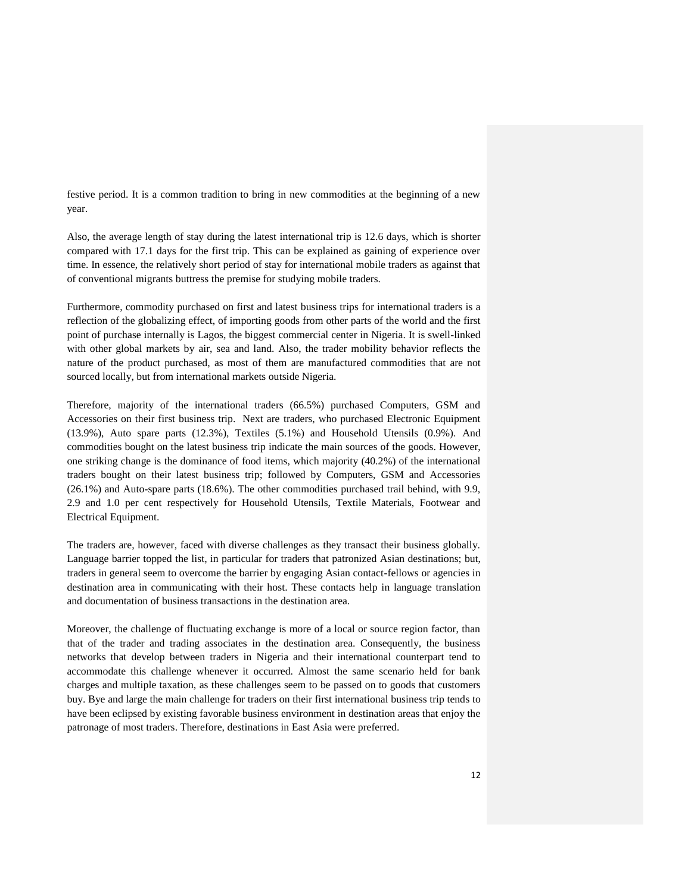festive period. It is a common tradition to bring in new commodities at the beginning of a new year.

Also, the average length of stay during the latest international trip is 12.6 days, which is shorter compared with 17.1 days for the first trip. This can be explained as gaining of experience over time. In essence, the relatively short period of stay for international mobile traders as against that of conventional migrants buttress the premise for studying mobile traders.

Furthermore, commodity purchased on first and latest business trips for international traders is a reflection of the globalizing effect, of importing goods from other parts of the world and the first point of purchase internally is Lagos, the biggest commercial center in Nigeria. It is swell-linked with other global markets by air, sea and land. Also, the trader mobility behavior reflects the nature of the product purchased, as most of them are manufactured commodities that are not sourced locally, but from international markets outside Nigeria.

Therefore, majority of the international traders (66.5%) purchased Computers, GSM and Accessories on their first business trip. Next are traders, who purchased Electronic Equipment (13.9%), Auto spare parts (12.3%), Textiles (5.1%) and Household Utensils (0.9%). And commodities bought on the latest business trip indicate the main sources of the goods. However, one striking change is the dominance of food items, which majority (40.2%) of the international traders bought on their latest business trip; followed by Computers, GSM and Accessories (26.1%) and Auto-spare parts (18.6%). The other commodities purchased trail behind, with 9.9, 2.9 and 1.0 per cent respectively for Household Utensils, Textile Materials, Footwear and Electrical Equipment.

The traders are, however, faced with diverse challenges as they transact their business globally. Language barrier topped the list, in particular for traders that patronized Asian destinations; but, traders in general seem to overcome the barrier by engaging Asian contact-fellows or agencies in destination area in communicating with their host. These contacts help in language translation and documentation of business transactions in the destination area.

Moreover, the challenge of fluctuating exchange is more of a local or source region factor, than that of the trader and trading associates in the destination area. Consequently, the business networks that develop between traders in Nigeria and their international counterpart tend to accommodate this challenge whenever it occurred. Almost the same scenario held for bank charges and multiple taxation, as these challenges seem to be passed on to goods that customers buy. Bye and large the main challenge for traders on their first international business trip tends to have been eclipsed by existing favorable business environment in destination areas that enjoy the patronage of most traders. Therefore, destinations in East Asia were preferred.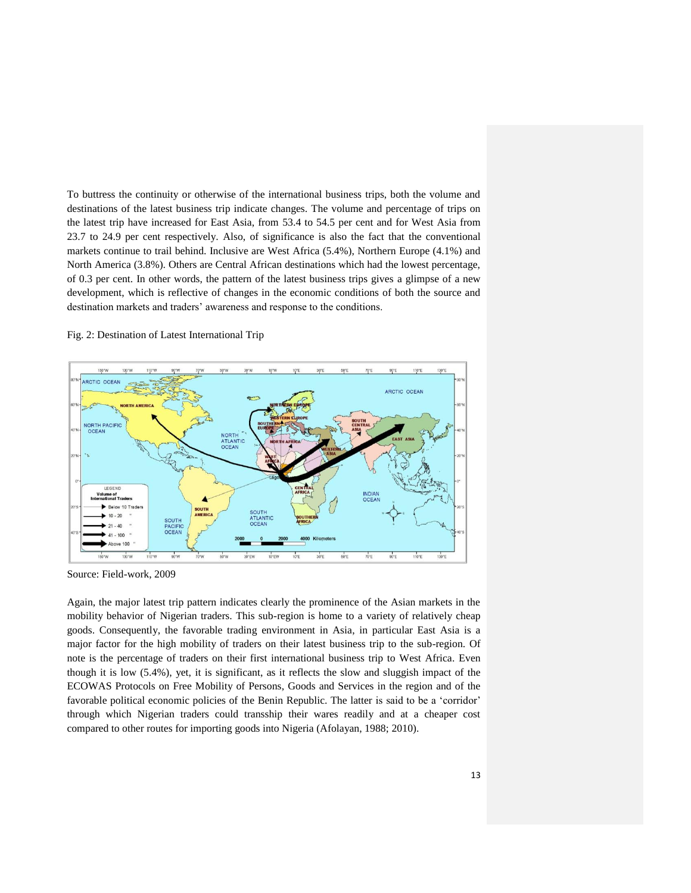To buttress the continuity or otherwise of the international business trips, both the volume and destinations of the latest business trip indicate changes. The volume and percentage of trips on the latest trip have increased for East Asia, from 53.4 to 54.5 per cent and for West Asia from 23.7 to 24.9 per cent respectively. Also, of significance is also the fact that the conventional markets continue to trail behind. Inclusive are West Africa (5.4%), Northern Europe (4.1%) and North America (3.8%). Others are Central African destinations which had the lowest percentage, of 0.3 per cent. In other words, the pattern of the latest business trips gives a glimpse of a new development, which is reflective of changes in the economic conditions of both the source and destination markets and traders' awareness and response to the conditions.

### Fig. 2: Destination of Latest International Trip



Source: Field-work, 2009

Again, the major latest trip pattern indicates clearly the prominence of the Asian markets in the mobility behavior of Nigerian traders. This sub-region is home to a variety of relatively cheap goods. Consequently, the favorable trading environment in Asia, in particular East Asia is a major factor for the high mobility of traders on their latest business trip to the sub-region. Of note is the percentage of traders on their first international business trip to West Africa. Even though it is low (5.4%), yet, it is significant, as it reflects the slow and sluggish impact of the ECOWAS Protocols on Free Mobility of Persons, Goods and Services in the region and of the favorable political economic policies of the Benin Republic. The latter is said to be a "corridor" through which Nigerian traders could transship their wares readily and at a cheaper cost compared to other routes for importing goods into Nigeria (Afolayan, 1988; 2010).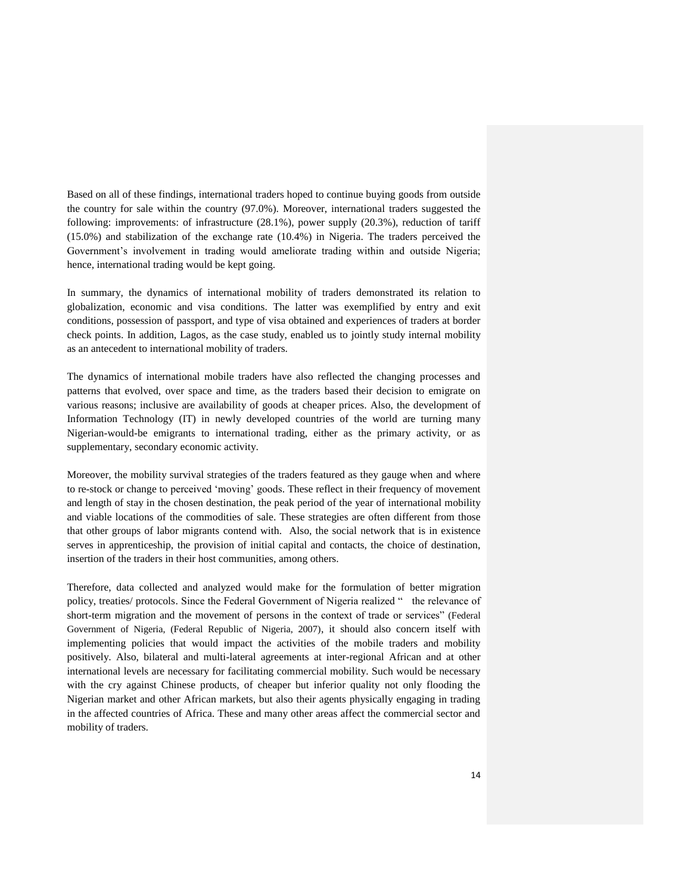Based on all of these findings, international traders hoped to continue buying goods from outside the country for sale within the country (97.0%). Moreover, international traders suggested the following: improvements: of infrastructure (28.1%), power supply (20.3%), reduction of tariff (15.0%) and stabilization of the exchange rate (10.4%) in Nigeria. The traders perceived the Government's involvement in trading would ameliorate trading within and outside Nigeria; hence, international trading would be kept going.

In summary, the dynamics of international mobility of traders demonstrated its relation to globalization, economic and visa conditions. The latter was exemplified by entry and exit conditions, possession of passport, and type of visa obtained and experiences of traders at border check points. In addition, Lagos, as the case study, enabled us to jointly study internal mobility as an antecedent to international mobility of traders.

The dynamics of international mobile traders have also reflected the changing processes and patterns that evolved, over space and time, as the traders based their decision to emigrate on various reasons; inclusive are availability of goods at cheaper prices. Also, the development of Information Technology (IT) in newly developed countries of the world are turning many Nigerian-would-be emigrants to international trading, either as the primary activity, or as supplementary, secondary economic activity.

Moreover, the mobility survival strategies of the traders featured as they gauge when and where to re-stock or change to perceived "moving" goods. These reflect in their frequency of movement and length of stay in the chosen destination, the peak period of the year of international mobility and viable locations of the commodities of sale. These strategies are often different from those that other groups of labor migrants contend with. Also, the social network that is in existence serves in apprenticeship, the provision of initial capital and contacts, the choice of destination, insertion of the traders in their host communities, among others.

Therefore, data collected and analyzed would make for the formulation of better migration policy, treaties/ protocols. Since the Federal Government of Nigeria realized " the relevance of short-term migration and the movement of persons in the context of trade or services" (Federal Government of Nigeria, (Federal Republic of Nigeria, 2007), it should also concern itself with implementing policies that would impact the activities of the mobile traders and mobility positively. Also, bilateral and multi-lateral agreements at inter-regional African and at other international levels are necessary for facilitating commercial mobility. Such would be necessary with the cry against Chinese products, of cheaper but inferior quality not only flooding the Nigerian market and other African markets, but also their agents physically engaging in trading in the affected countries of Africa. These and many other areas affect the commercial sector and mobility of traders.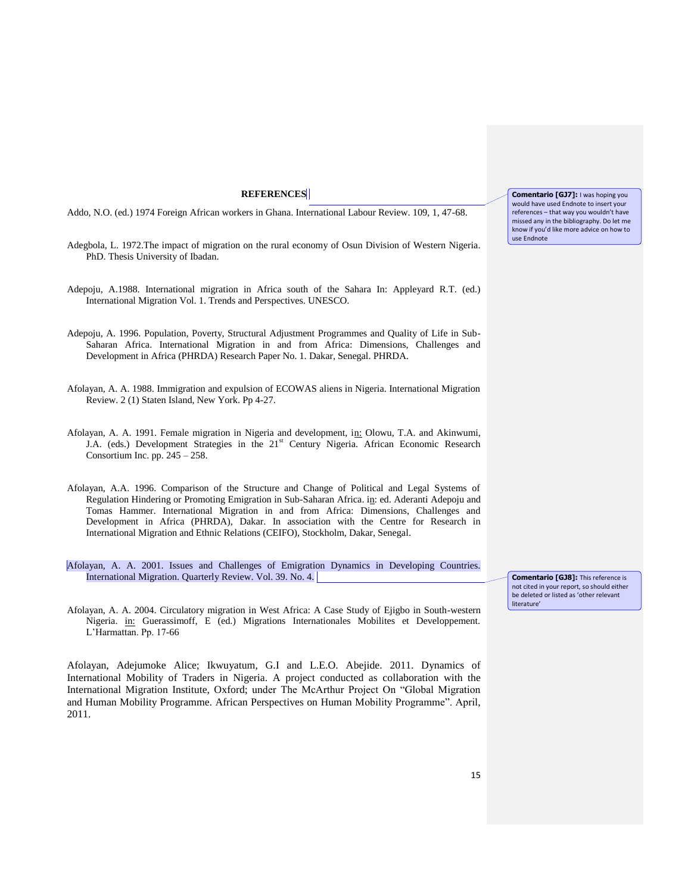### **REFERENCES**

Addo, N.O. (ed.) 1974 Foreign African workers in Ghana. International Labour Review. 109, 1, 47-68.

- Adegbola, L. 1972.The impact of migration on the rural economy of Osun Division of Western Nigeria. PhD. Thesis University of Ibadan.
- Adepoju, A.1988. International migration in Africa south of the Sahara In: Appleyard R.T. (ed.) International Migration Vol. 1. Trends and Perspectives. UNESCO.
- Adepoju, A. 1996. Population, Poverty, Structural Adjustment Programmes and Quality of Life in Sub-Saharan Africa. International Migration in and from Africa: Dimensions, Challenges and Development in Africa (PHRDA) Research Paper No. 1. Dakar, Senegal. PHRDA.
- Afolayan, A. A. 1988. Immigration and expulsion of ECOWAS aliens in Nigeria. International Migration Review. 2 (1) Staten Island, New York. Pp 4-27.
- Afolayan, A. A. 1991. Female migration in Nigeria and development, in: Olowu, T.A. and Akinwumi, J.A. (eds.) Development Strategies in the 21<sup>st</sup> Century Nigeria. African Economic Research Consortium Inc. pp.  $245 - 258$ .
- Afolayan, A.A. 1996. Comparison of the Structure and Change of Political and Legal Systems of Regulation Hindering or Promoting Emigration in Sub-Saharan Africa. in: ed. Aderanti Adepoju and Tomas Hammer. International Migration in and from Africa: Dimensions, Challenges and Development in Africa (PHRDA), Dakar. In association with the Centre for Research in International Migration and Ethnic Relations (CEIFO), Stockholm, Dakar, Senegal.
- Afolayan, A. A. 2001. Issues and Challenges of Emigration Dynamics in Developing Countries. International Migration. Quarterly Review. Vol. 39. No. 4.
- Afolayan, A. A. 2004. Circulatory migration in West Africa: A Case Study of Ejigbo in South-western Nigeria. in: Guerassimoff, E (ed.) Migrations Internationales Mobilites et Developpement. L"Harmattan. Pp. 17-66

Afolayan, Adejumoke Alice; Ikwuyatum, G.I and L.E.O. Abejide. 2011. Dynamics of International Mobility of Traders in Nigeria. A project conducted as collaboration with the International Migration Institute, Oxford; under The McArthur Project On "Global Migration and Human Mobility Programme. African Perspectives on Human Mobility Programme". April, 2011.

**Comentario [GJ7]:** I was hoping you would have used Endnote to insert your references – that way you wouldn't have missed any in the bibliography. Do let me know if you'd like more advice on how to use Endnote

**Comentario [GJ8]:** This reference is not cited in your report, so should either be deleted or listed as 'other relevant literature'